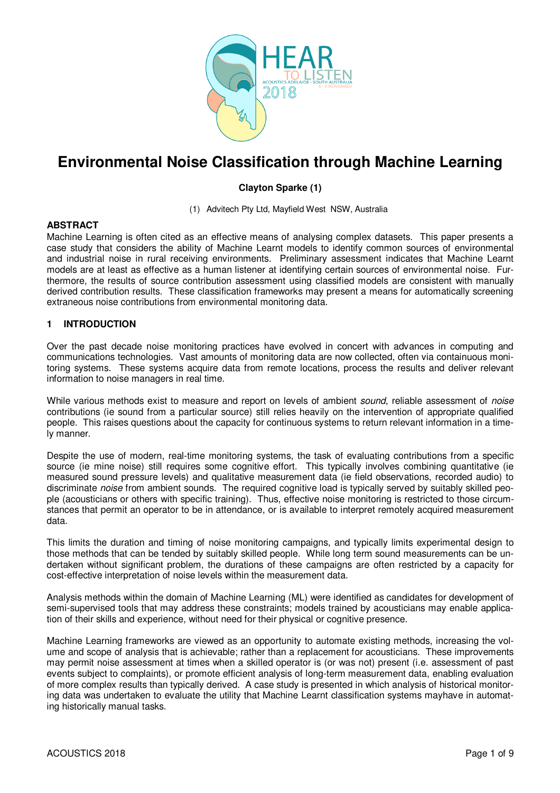

# **Environmental Noise Classification through Machine Learning**

# **Clayton Sparke (1)**

(1) Advitech Pty Ltd, Mayfield West NSW, Australia

# **ABSTRACT**

Machine Learning is often cited as an effective means of analysing complex datasets. This paper presents a case study that considers the ability of Machine Learnt models to identify common sources of environmental and industrial noise in rural receiving environments. Preliminary assessment indicates that Machine Learnt models are at least as effective as a human listener at identifying certain sources of environmental noise. Furthermore, the results of source contribution assessment using classified models are consistent with manually derived contribution results. These classification frameworks may present a means for automatically screening extraneous noise contributions from environmental monitoring data.

# **1 INTRODUCTION**

Over the past decade noise monitoring practices have evolved in concert with advances in computing and communications technologies. Vast amounts of monitoring data are now collected, often via containuous monitoring systems. These systems acquire data from remote locations, process the results and deliver relevant information to noise managers in real time.

While various methods exist to measure and report on levels of ambient *sound*, reliable assessment of *noise* contributions (ie sound from a particular source) still relies heavily on the intervention of appropriate qualified people. This raises questions about the capacity for continuous systems to return relevant information in a timely manner.

Despite the use of modern, real-time monitoring systems, the task of evaluating contributions from a specific source (ie mine noise) still requires some cognitive effort. This typically involves combining quantitative (ie measured sound pressure levels) and qualitative measurement data (ie field observations, recorded audio) to discriminate *noise* from ambient sounds. The required cognitive load is typically served by suitably skilled people (acousticians or others with specific training). Thus, effective noise monitoring is restricted to those circumstances that permit an operator to be in attendance, or is available to interpret remotely acquired measurement data.

This limits the duration and timing of noise monitoring campaigns, and typically limits experimental design to those methods that can be tended by suitably skilled people. While long term sound measurements can be undertaken without significant problem, the durations of these campaigns are often restricted by a capacity for cost-effective interpretation of noise levels within the measurement data.

Analysis methods within the domain of Machine Learning (ML) were identified as candidates for development of semi-supervised tools that may address these constraints; models trained by acousticians may enable application of their skills and experience, without need for their physical or cognitive presence.

Machine Learning frameworks are viewed as an opportunity to automate existing methods, increasing the volume and scope of analysis that is achievable; rather than a replacement for acousticians. These improvements may permit noise assessment at times when a skilled operator is (or was not) present (i.e. assessment of past events subject to complaints), or promote efficient analysis of long-term measurement data, enabling evaluation of more complex results than typically derived. A case study is presented in which analysis of historical monitoring data was undertaken to evaluate the utility that Machine Learnt classification systems mayhave in automating historically manual tasks.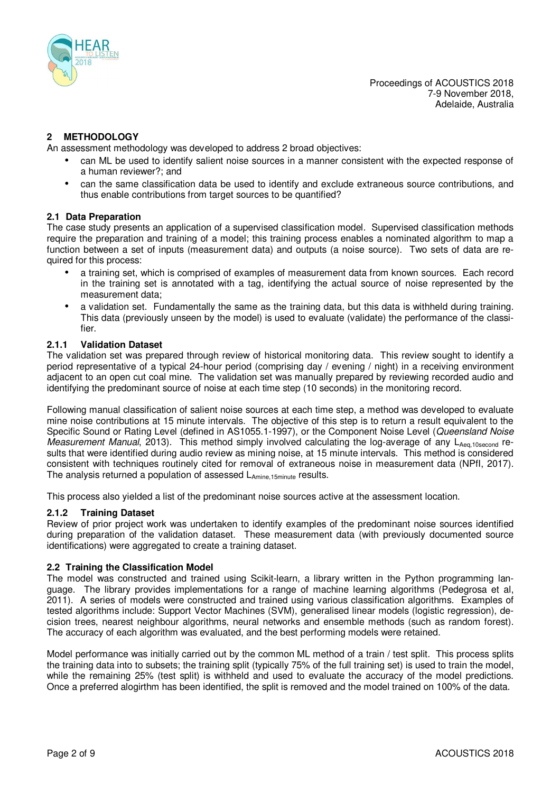

# **2 METHODOLOGY**

An assessment methodology was developed to address 2 broad objectives:

- can ML be used to identify salient noise sources in a manner consistent with the expected response of a human reviewer?; and
- can the same classification data be used to identify and exclude extraneous source contributions, and thus enable contributions from target sources to be quantified?

#### **2.1 Data Preparation**

The case study presents an application of a supervised classification model. Supervised classification methods require the preparation and training of a model; this training process enables a nominated algorithm to map a function between a set of inputs (measurement data) and outputs (a noise source). Two sets of data are required for this process:

- a training set, which is comprised of examples of measurement data from known sources. Each record in the training set is annotated with a tag, identifying the actual source of noise represented by the measurement data;
- a validation set. Fundamentally the same as the training data, but this data is withheld during training. This data (previously unseen by the model) is used to evaluate (validate) the performance of the classifier.

#### **2.1.1 Validation Dataset**

The validation set was prepared through review of historical monitoring data. This review sought to identify a period representative of a typical 24-hour period (comprising day / evening / night) in a receiving environment adjacent to an open cut coal mine. The validation set was manually prepared by reviewing recorded audio and identifying the predominant source of noise at each time step (10 seconds) in the monitoring record.

Following manual classification of salient noise sources at each time step, a method was developed to evaluate mine noise contributions at 15 minute intervals. The objective of this step is to return a result equivalent to the Specific Sound or Rating Level (defined in AS1055.1-1997), or the Component Noise Level (*Queensland Noise Measurement Manual*, 2013). This method simply involved calculating the log-average of any L<sub>Aeq,10second</sub> results that were identified during audio review as mining noise, at 15 minute intervals. This method is considered consistent with techniques routinely cited for removal of extraneous noise in measurement data (NPfI, 2017). The analysis returned a population of assessed L<sub>Amine,15minute</sub> results.

This process also yielded a list of the predominant noise sources active at the assessment location.

#### **2.1.2 Training Dataset**

Review of prior project work was undertaken to identify examples of the predominant noise sources identified during preparation of the validation dataset. These measurement data (with previously documented source identifications) were aggregated to create a training dataset.

#### **2.2 Training the Classification Model**

The model was constructed and trained using Scikit-learn, a library written in the Python programming language. The library provides implementations for a range of machine learning algorithms (Pedegrosa et al, 2011). A series of models were constructed and trained using various classification algorithms. Examples of tested algorithms include: Support Vector Machines (SVM), generalised linear models (logistic regression), decision trees, nearest neighbour algorithms, neural networks and ensemble methods (such as random forest). The accuracy of each algorithm was evaluated, and the best performing models were retained.

Model performance was initially carried out by the common ML method of a train / test split. This process splits the training data into to subsets; the training split (typically 75% of the full training set) is used to train the model, while the remaining 25% (test split) is withheld and used to evaluate the accuracy of the model predictions. Once a preferred alogirthm has been identified, the split is removed and the model trained on 100% of the data.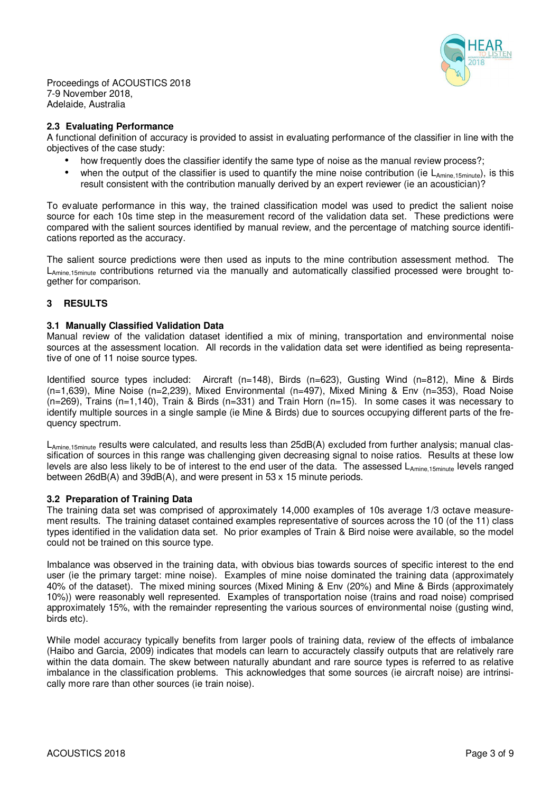

### **2.3 Evaluating Performance**

A functional definition of accuracy is provided to assist in evaluating performance of the classifier in line with the objectives of the case study:

- how frequently does the classifier identify the same type of noise as the manual review process?:
- when the output of the classifier is used to quantify the mine noise contribution (ie  $L_{\text{Amine 15minute}}$ ), is this result consistent with the contribution manually derived by an expert reviewer (ie an acoustician)?

To evaluate performance in this way, the trained classification model was used to predict the salient noise source for each 10s time step in the measurement record of the validation data set. These predictions were compared with the salient sources identified by manual review, and the percentage of matching source identifications reported as the accuracy.

The salient source predictions were then used as inputs to the mine contribution assessment method. The LAmine,15minute contributions returned via the manually and automatically classified processed were brought together for comparison.

# **3 RESULTS**

#### **3.1 Manually Classified Validation Data**

Manual review of the validation dataset identified a mix of mining, transportation and environmental noise sources at the assessment location. All records in the validation data set were identified as being representative of one of 11 noise source types.

Identified source types included: Aircraft (n=148), Birds (n=623), Gusting Wind (n=812), Mine & Birds (n=1,639), Mine Noise (n=2,239), Mixed Environmental (n=497), Mixed Mining & Env (n=353), Road Noise (n=269), Trains (n=1,140), Train & Birds (n=331) and Train Horn (n=15). In some cases it was necessary to identify multiple sources in a single sample (ie Mine & Birds) due to sources occupying different parts of the frequency spectrum.

L<sub>Amine,15minute</sub> results were calculated, and results less than 25dB(A) excluded from further analysis; manual classification of sources in this range was challenging given decreasing signal to noise ratios. Results at these low levels are also less likely to be of interest to the end user of the data. The assessed LAmine,15minute levels ranged between 26dB(A) and 39dB(A), and were present in 53 x 15 minute periods.

#### **3.2 Preparation of Training Data**

The training data set was comprised of approximately 14,000 examples of 10s average 1/3 octave measurement results. The training dataset contained examples representative of sources across the 10 (of the 11) class types identified in the validation data set. No prior examples of Train & Bird noise were available, so the model could not be trained on this source type.

Imbalance was observed in the training data, with obvious bias towards sources of specific interest to the end user (ie the primary target: mine noise). Examples of mine noise dominated the training data (approximately 40% of the dataset). The mixed mining sources (Mixed Mining & Env (20%) and Mine & Birds (approximately 10%)) were reasonably well represented. Examples of transportation noise (trains and road noise) comprised approximately 15%, with the remainder representing the various sources of environmental noise (gusting wind, birds etc).

While model accuracy typically benefits from larger pools of training data, review of the effects of imbalance (Haibo and Garcia, 2009) indicates that models can learn to accuractely classify outputs that are relatively rare within the data domain. The skew between naturally abundant and rare source types is referred to as relative imbalance in the classification problems. This acknowledges that some sources (ie aircraft noise) are intrinsically more rare than other sources (ie train noise).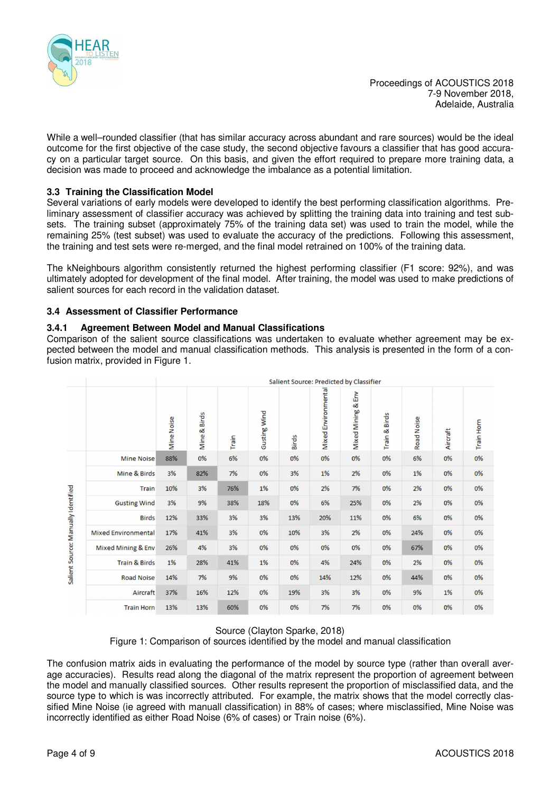

While a well–rounded classifier (that has similar accuracy across abundant and rare sources) would be the ideal outcome for the first objective of the case study, the second objective favours a classifier that has good accuracy on a particular target source. On this basis, and given the effort required to prepare more training data, a decision was made to proceed and acknowledge the imbalance as a potential limitation.

# **3.3 Training the Classification Model**

Several variations of early models were developed to identify the best performing classification algorithms. Preliminary assessment of classifier accuracy was achieved by splitting the training data into training and test subsets. The training subset (approximately 75% of the training data set) was used to train the model, while the remaining 25% (test subset) was used to evaluate the accuracy of the predictions. Following this assessment, the training and test sets were re-merged, and the final model retrained on 100% of the training data.

The kNeighbours algorithm consistently returned the highest performing classifier (F1 score: 92%), and was ultimately adopted for development of the final model. After training, the model was used to make predictions of salient sources for each record in the validation dataset.

### **3.4 Assessment of Classifier Performance**

#### **3.4.1 Agreement Between Model and Manual Classifications**

Comparison of the salient source classifications was undertaken to evaluate whether agreement may be expected between the model and manual classification methods. This analysis is presented in the form of a confusion matrix, provided in Figure 1.

|                                     |                            | Salient Source: Predicted by Classifier |              |       |                     |              |                     |                                 |               |                   |          |            |
|-------------------------------------|----------------------------|-----------------------------------------|--------------|-------|---------------------|--------------|---------------------|---------------------------------|---------------|-------------------|----------|------------|
|                                     |                            | <b>Mine Noise</b>                       | Mine & Birds | Train | <b>Gusting Wind</b> | <b>Birds</b> | Mixed Environmental | Env<br>ಜ<br><b>Mixed Mining</b> | Train & Birds | <b>Road Noise</b> | Aircraft | Train Horn |
| Salient Source: Manually Identified | <b>Mine Noise</b>          | 88%                                     | 0%           | 6%    | 0%                  | 0%           | 0%                  | 0%                              | 0%            | 6%                | 0%       | 0%         |
|                                     | Mine & Birds               | 3%                                      | 82%          | 7%    | 0%                  | 3%           | 1%                  | 2%                              | 0%            | 1%                | 0%       | 0%         |
|                                     | Train                      | 10%                                     | 3%           | 76%   | 1%                  | 0%           | 2%                  | 7%                              | 0%            | 2%                | 0%       | 0%         |
|                                     | <b>Gusting Wind</b>        | 3%                                      | 9%           | 38%   | 18%                 | 0%           | 6%                  | 25%                             | 0%            | 2%                | 0%       | 0%         |
|                                     | <b>Birds</b>               | 12%                                     | 33%          | 3%    | 3%                  | 13%          | 20%                 | 11%                             | 0%            | 6%                | 0%       | 0%         |
|                                     | <b>Mixed Environmental</b> | 17%                                     | 41%          | 3%    | 0%                  | 10%          | 3%                  | 2%                              | 0%            | 24%               | 0%       | 0%         |
|                                     | Mixed Mining & Env         | 26%                                     | 4%           | 3%    | 0%                  | 0%           | 0%                  | 0%                              | 0%            | 67%               | 0%       | 0%         |
|                                     | <b>Train &amp; Birds</b>   | 1%                                      | 28%          | 41%   | 1%                  | 0%           | 4%                  | 24%                             | 0%            | 2%                | 0%       | 0%         |
|                                     | <b>Road Noise</b>          | 14%                                     | 7%           | 9%    | 0%                  | 0%           | 14%                 | 12%                             | 0%            | 44%               | 0%       | 0%         |
|                                     | Aircraft                   | 37%                                     | 16%          | 12%   | 0%                  | 19%          | 3%                  | 3%                              | 0%            | 9%                | 1%       | 0%         |
|                                     | <b>Train Horn</b>          | 13%                                     | 13%          | 60%   | 0%                  | 0%           | 7%                  | 7%                              | 0%            | 0%                | 0%       | 0%         |

Source (Clayton Sparke, 2018)

Figure 1: Comparison of sources identified by the model and manual classification

The confusion matrix aids in evaluating the performance of the model by source type (rather than overall average accuracies). Results read along the diagonal of the matrix represent the proportion of agreement between the model and manually classified sources. Other results represent the proportion of misclassified data, and the source type to which is was incorrectly attributed. For example, the matrix shows that the model correctly classified Mine Noise (ie agreed with manuall classification) in 88% of cases; where misclassified, Mine Noise was incorrectly identified as either Road Noise (6% of cases) or Train noise (6%).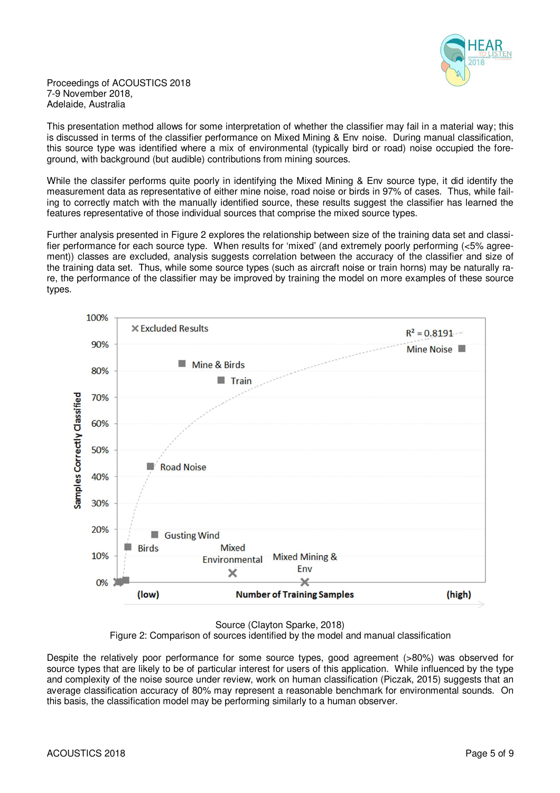

This presentation method allows for some interpretation of whether the classifier may fail in a material way; this is discussed in terms of the classifier performance on Mixed Mining & Env noise. During manual classification, this source type was identified where a mix of environmental (typically bird or road) noise occupied the foreground, with background (but audible) contributions from mining sources.

While the classifer performs quite poorly in identifying the Mixed Mining & Env source type, it did identify the measurement data as representative of either mine noise, road noise or birds in 97% of cases. Thus, while failing to correctly match with the manually identified source, these results suggest the classifier has learned the features representative of those individual sources that comprise the mixed source types.

Further analysis presented in Figure 2 explores the relationship between size of the training data set and classifier performance for each source type. When results for 'mixed' (and extremely poorly performing (<5% agreement)) classes are excluded, analysis suggests correlation between the accuracy of the classifier and size of the training data set. Thus, while some source types (such as aircraft noise or train horns) may be naturally rare, the performance of the classifier may be improved by training the model on more examples of these source types.



Source (Clayton Sparke, 2018)

Figure 2: Comparison of sources identified by the model and manual classification

Despite the relatively poor performance for some source types, good agreement (>80%) was observed for source types that are likely to be of particular interest for users of this application. While influenced by the type and complexity of the noise source under review, work on human classification (Piczak, 2015) suggests that an average classification accuracy of 80% may represent a reasonable benchmark for environmental sounds. On this basis, the classification model may be performing similarly to a human observer.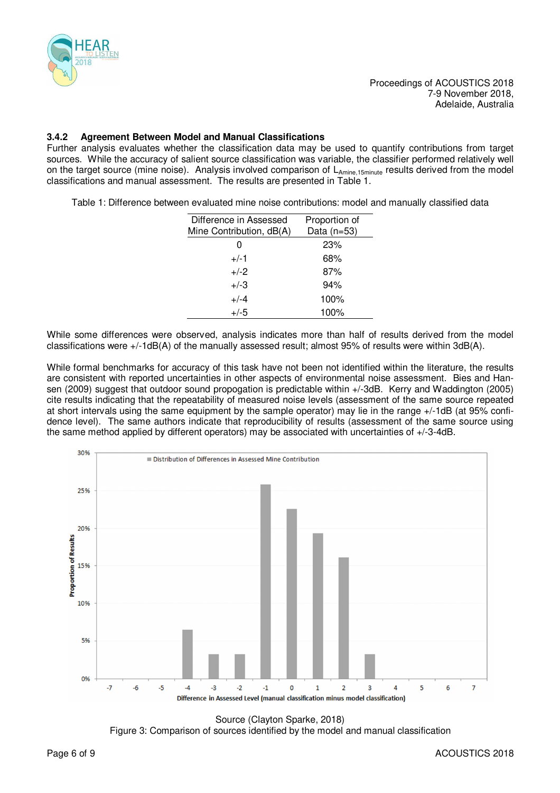

# **3.4.2 Agreement Between Model and Manual Classifications**

Further analysis evaluates whether the classification data may be used to quantify contributions from target sources. While the accuracy of salient source classification was variable, the classifier performed relatively well on the target source (mine noise). Analysis involved comparison of LAmine,15minute results derived from the model classifications and manual assessment. The results are presented in Table 1.

Table 1: Difference between evaluated mine noise contributions: model and manually classified data

| Difference in Assessed   | Proportion of |  |  |  |  |
|--------------------------|---------------|--|--|--|--|
| Mine Contribution, dB(A) | Data (n=53)   |  |  |  |  |
|                          | 23%           |  |  |  |  |
| $+/-1$                   | 68%           |  |  |  |  |
| $+/-2$                   | 87%           |  |  |  |  |
| $+/-3$                   | 94%           |  |  |  |  |
| $+/-4$                   | 100%          |  |  |  |  |
| $+/-5$                   | 100%          |  |  |  |  |

While some differences were observed, analysis indicates more than half of results derived from the model classifications were +/-1dB(A) of the manually assessed result; almost 95% of results were within 3dB(A).

While formal benchmarks for accuracy of this task have not been not identified within the literature, the results are consistent with reported uncertainties in other aspects of environmental noise assessment. Bies and Hansen (2009) suggest that outdoor sound propogation is predictable within +/-3dB. Kerry and Waddington (2005) cite results indicating that the repeatability of measured noise levels (assessment of the same source repeated at short intervals using the same equipment by the sample operator) may lie in the range +/-1dB (at 95% confidence level). The same authors indicate that reproducibility of results (assessment of the same source using the same method applied by different operators) may be associated with uncertainties of +/-3-4dB.



Source (Clayton Sparke, 2018) Figure 3: Comparison of sources identified by the model and manual classification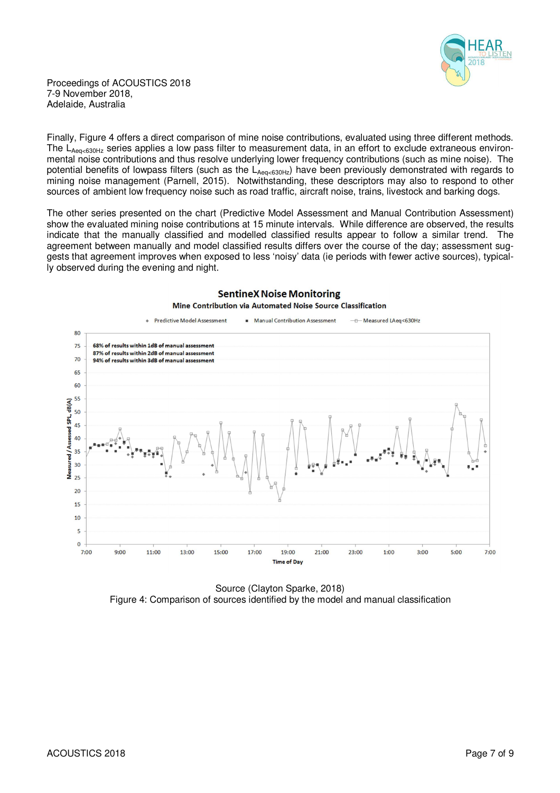

Finally, Figure 4 offers a direct comparison of mine noise contributions, evaluated using three different methods. The LAeq<630Hz series applies a low pass filter to measurement data, in an effort to exclude extraneous environmental noise contributions and thus resolve underlying lower frequency contributions (such as mine noise). The potential benefits of lowpass filters (such as the  $L_{Aea<630Hz}$ ) have been previously demonstrated with regards to mining noise management (Parnell, 2015). Notwithstanding, these descriptors may also to respond to other sources of ambient low frequency noise such as road traffic, aircraft noise, trains, livestock and barking dogs.

The other series presented on the chart (Predictive Model Assessment and Manual Contribution Assessment) show the evaluated mining noise contributions at 15 minute intervals. While difference are observed, the results indicate that the manually classified and modelled classified results appear to follow a similar trend. The agreement between manually and model classified results differs over the course of the day; assessment suggests that agreement improves when exposed to less 'noisy' data (ie periods with fewer active sources), typically observed during the evening and night.



**SentineX Noise Monitoring** 

Source (Clayton Sparke, 2018) Figure 4: Comparison of sources identified by the model and manual classification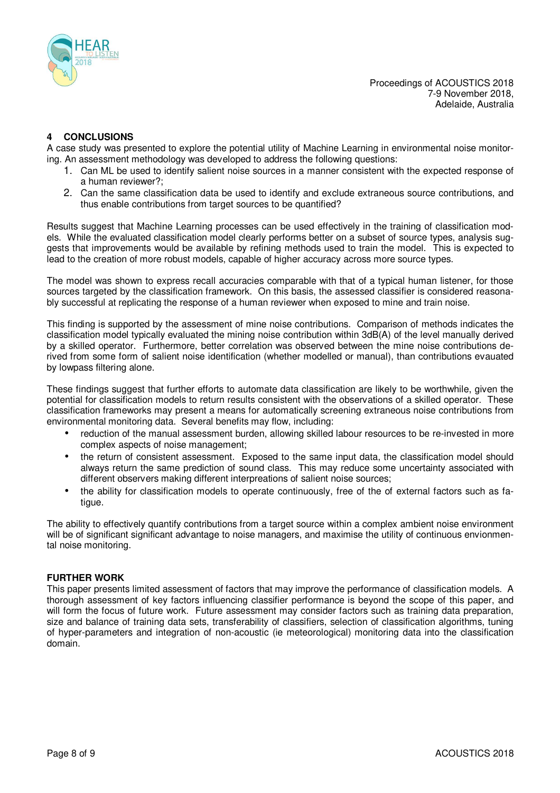

# **4 CONCLUSIONS**

A case study was presented to explore the potential utility of Machine Learning in environmental noise monitoring. An assessment methodology was developed to address the following questions:

- 1. Can ML be used to identify salient noise sources in a manner consistent with the expected response of a human reviewer?;
- 2. Can the same classification data be used to identify and exclude extraneous source contributions, and thus enable contributions from target sources to be quantified?

Results suggest that Machine Learning processes can be used effectively in the training of classification models. While the evaluated classification model clearly performs better on a subset of source types, analysis suggests that improvements would be available by refining methods used to train the model. This is expected to lead to the creation of more robust models, capable of higher accuracy across more source types.

The model was shown to express recall accuracies comparable with that of a typical human listener, for those sources targeted by the classification framework. On this basis, the assessed classifier is considered reasonably successful at replicating the response of a human reviewer when exposed to mine and train noise.

This finding is supported by the assessment of mine noise contributions. Comparison of methods indicates the classification model typically evaluated the mining noise contribution within 3dB(A) of the level manually derived by a skilled operator. Furthermore, better correlation was observed between the mine noise contributions derived from some form of salient noise identification (whether modelled or manual), than contributions evauated by lowpass filtering alone.

These findings suggest that further efforts to automate data classification are likely to be worthwhile, given the potential for classification models to return results consistent with the observations of a skilled operator. These classification frameworks may present a means for automatically screening extraneous noise contributions from environmental monitoring data. Several benefits may flow, including:

- reduction of the manual assessment burden, allowing skilled labour resources to be re-invested in more complex aspects of noise management;
- the return of consistent assessment. Exposed to the same input data, the classification model should always return the same prediction of sound class. This may reduce some uncertainty associated with different observers making different interpreations of salient noise sources;
- the ability for classification models to operate continuously, free of the of external factors such as fatigue.

The ability to effectively quantify contributions from a target source within a complex ambient noise environment will be of significant significant advantage to noise managers, and maximise the utility of continuous envionmental noise monitoring.

# **FURTHER WORK**

This paper presents limited assessment of factors that may improve the performance of classification models. A thorough assessment of key factors influencing classifier performance is beyond the scope of this paper, and will form the focus of future work. Future assessment may consider factors such as training data preparation, size and balance of training data sets, transferability of classifiers, selection of classification algorithms, tuning of hyper-parameters and integration of non-acoustic (ie meteorological) monitoring data into the classification domain.